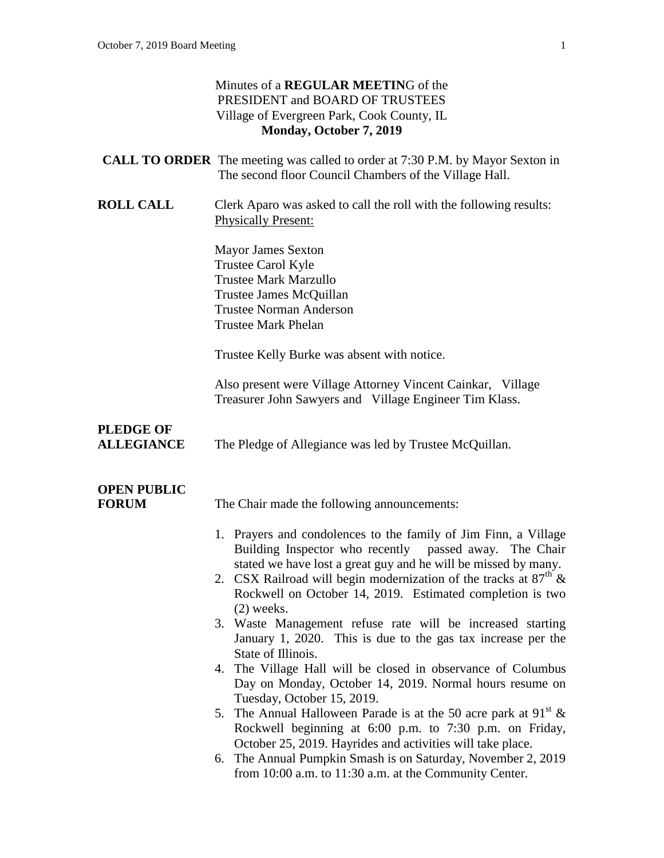|                                       | Minutes of a <b>REGULAR MEETING</b> of the<br>PRESIDENT and BOARD OF TRUSTEES<br>Village of Evergreen Park, Cook County, IL<br>Monday, October 7, 2019                                                                                                                                                                                                                                                                                                                                                                                                                                                                                                                                                                                                                                                                                                                                                                                                                                 |
|---------------------------------------|----------------------------------------------------------------------------------------------------------------------------------------------------------------------------------------------------------------------------------------------------------------------------------------------------------------------------------------------------------------------------------------------------------------------------------------------------------------------------------------------------------------------------------------------------------------------------------------------------------------------------------------------------------------------------------------------------------------------------------------------------------------------------------------------------------------------------------------------------------------------------------------------------------------------------------------------------------------------------------------|
|                                       | <b>CALL TO ORDER</b> The meeting was called to order at 7:30 P.M. by Mayor Sexton in<br>The second floor Council Chambers of the Village Hall.                                                                                                                                                                                                                                                                                                                                                                                                                                                                                                                                                                                                                                                                                                                                                                                                                                         |
| <b>ROLL CALL</b>                      | Clerk Aparo was asked to call the roll with the following results:<br><b>Physically Present:</b>                                                                                                                                                                                                                                                                                                                                                                                                                                                                                                                                                                                                                                                                                                                                                                                                                                                                                       |
|                                       | <b>Mayor James Sexton</b><br>Trustee Carol Kyle<br><b>Trustee Mark Marzullo</b><br>Trustee James McQuillan<br><b>Trustee Norman Anderson</b><br><b>Trustee Mark Phelan</b>                                                                                                                                                                                                                                                                                                                                                                                                                                                                                                                                                                                                                                                                                                                                                                                                             |
|                                       | Trustee Kelly Burke was absent with notice.                                                                                                                                                                                                                                                                                                                                                                                                                                                                                                                                                                                                                                                                                                                                                                                                                                                                                                                                            |
|                                       | Also present were Village Attorney Vincent Cainkar, Village<br>Treasurer John Sawyers and Village Engineer Tim Klass.                                                                                                                                                                                                                                                                                                                                                                                                                                                                                                                                                                                                                                                                                                                                                                                                                                                                  |
| <b>PLEDGE OF</b><br><b>ALLEGIANCE</b> | The Pledge of Allegiance was led by Trustee McQuillan.                                                                                                                                                                                                                                                                                                                                                                                                                                                                                                                                                                                                                                                                                                                                                                                                                                                                                                                                 |
| <b>OPEN PUBLIC</b><br><b>FORUM</b>    | The Chair made the following announcements:                                                                                                                                                                                                                                                                                                                                                                                                                                                                                                                                                                                                                                                                                                                                                                                                                                                                                                                                            |
|                                       | 1. Prayers and condolences to the family of Jim Finn, a Village<br>Building Inspector who recently passed away. The Chair<br>stated we have lost a great guy and he will be missed by many.<br>2. CSX Railroad will begin modernization of the tracks at $87th$ &<br>Rockwell on October 14, 2019. Estimated completion is two<br>$(2)$ weeks.<br>3. Waste Management refuse rate will be increased starting<br>January 1, 2020. This is due to the gas tax increase per the<br>State of Illinois.<br>4. The Village Hall will be closed in observance of Columbus<br>Day on Monday, October 14, 2019. Normal hours resume on<br>Tuesday, October 15, 2019.<br>5. The Annual Halloween Parade is at the 50 acre park at $91^{st}$ &<br>Rockwell beginning at 6:00 p.m. to 7:30 p.m. on Friday,<br>October 25, 2019. Hayrides and activities will take place.<br>6. The Annual Pumpkin Smash is on Saturday, November 2, 2019<br>from 10:00 a.m. to 11:30 a.m. at the Community Center. |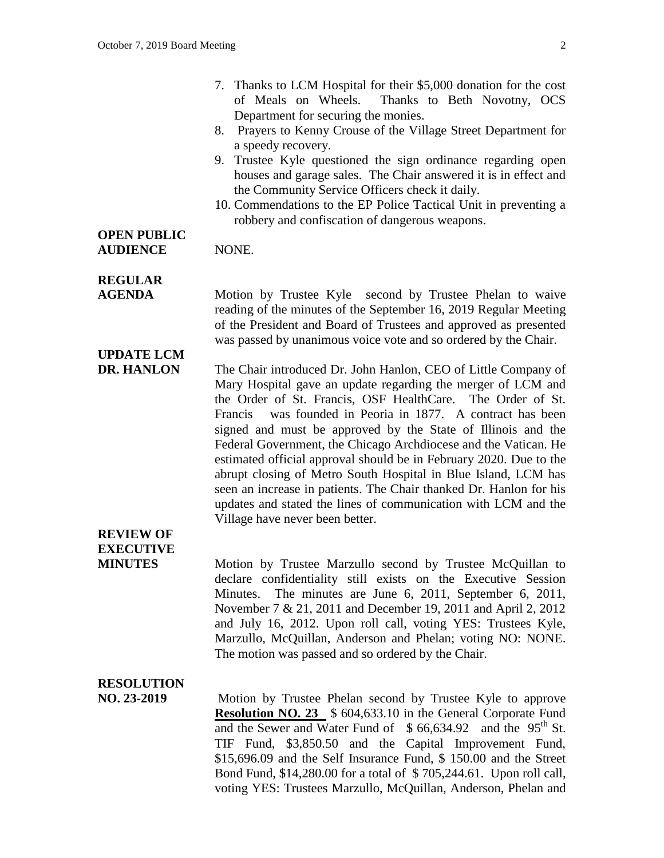- 7. Thanks to LCM Hospital for their \$5,000 donation for the cost of Meals on Wheels. Thanks to Beth Novotny, OCS Department for securing the monies.
- 8. Prayers to Kenny Crouse of the Village Street Department for a speedy recovery.
- 9. Trustee Kyle questioned the sign ordinance regarding open houses and garage sales. The Chair answered it is in effect and the Community Service Officers check it daily.
- 10. Commendations to the EP Police Tactical Unit in preventing a robbery and confiscation of dangerous weapons.

#### **OPEN PUBLIC** AUDIENCE NONE.

**UPDATE LCM**

### **REGULAR**

**AGENDA** Motion by Trustee Kyle second by Trustee Phelan to waive reading of the minutes of the September 16, 2019 Regular Meeting of the President and Board of Trustees and approved as presented was passed by unanimous voice vote and so ordered by the Chair.

### **DR. HANLON** The Chair introduced Dr. John Hanlon, CEO of Little Company of Mary Hospital gave an update regarding the merger of LCM and the Order of St. Francis, OSF HealthCare. The Order of St. Francis was founded in Peoria in 1877. A contract has been signed and must be approved by the State of Illinois and the Federal Government, the Chicago Archdiocese and the Vatican. He estimated official approval should be in February 2020. Due to the abrupt closing of Metro South Hospital in Blue Island, LCM has seen an increase in patients. The Chair thanked Dr. Hanlon for his updates and stated the lines of communication with LCM and the Village have never been better.

# **REVIEW OF EXECUTIVE**

**MINUTES** Motion by Trustee Marzullo second by Trustee McQuillan to declare confidentiality still exists on the Executive Session Minutes. The minutes are June 6, 2011, September 6, 2011, November 7 & 21, 2011 and December 19, 2011 and April 2, 2012 and July 16, 2012. Upon roll call, voting YES: Trustees Kyle, Marzullo, McQuillan, Anderson and Phelan; voting NO: NONE. The motion was passed and so ordered by the Chair.

### **RESOLUTION**

**NO. 23-2019** Motion by Trustee Phelan second by Trustee Kyle to approve **Resolution NO. 23** \$ 604,633.10 in the General Corporate Fund and the Sewer and Water Fund of  $$66,634.92$  and the 95<sup>th</sup> St. TIF Fund, \$3,850.50 and the Capital Improvement Fund, \$15,696.09 and the Self Insurance Fund, \$ 150.00 and the Street Bond Fund, \$14,280.00 for a total of \$ 705,244.61. Upon roll call, voting YES: Trustees Marzullo, McQuillan, Anderson, Phelan and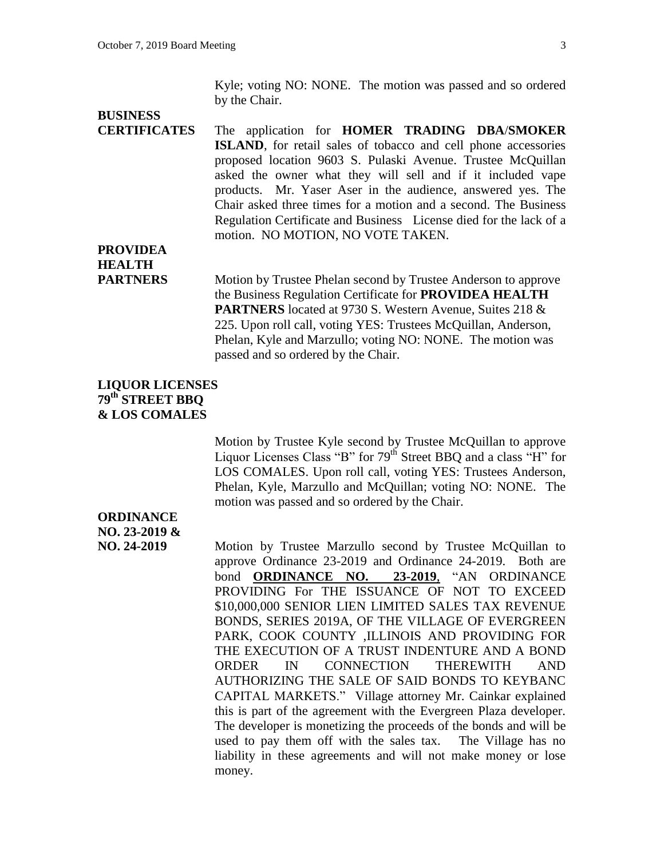Kyle; voting NO: NONE. The motion was passed and so ordered by the Chair.

# **BUSINESS**

**CERTIFICATES** The application for **HOMER TRADING DBA**/**SMOKER ISLAND**, for retail sales of tobacco and cell phone accessories proposed location 9603 S. Pulaski Avenue. Trustee McQuillan asked the owner what they will sell and if it included vape products. Mr. Yaser Aser in the audience, answered yes. The Chair asked three times for a motion and a second. The Business Regulation Certificate and Business License died for the lack of a motion. NO MOTION, NO VOTE TAKEN.

### **PROVIDEA HEALTH**

**PARTNERS** Motion by Trustee Phelan second by Trustee Anderson to approve the Business Regulation Certificate for **PROVIDEA HEALTH PARTNERS** located at 9730 S. Western Avenue, Suites 218 & 225. Upon roll call, voting YES: Trustees McQuillan, Anderson, Phelan, Kyle and Marzullo; voting NO: NONE. The motion was passed and so ordered by the Chair.

### **LIQUOR LICENSES 79th STREET BBQ & LOS COMALES**

Motion by Trustee Kyle second by Trustee McQuillan to approve Liquor Licenses Class "B" for  $79<sup>th</sup>$  Street BBQ and a class "H" for LOS COMALES. Upon roll call, voting YES: Trustees Anderson, Phelan, Kyle, Marzullo and McQuillan; voting NO: NONE. The motion was passed and so ordered by the Chair.

## **ORDINANCE NO. 23-2019 &**

**NO. 24-2019** Motion by Trustee Marzullo second by Trustee McQuillan to approve Ordinance 23-2019 and Ordinance 24-2019. Both are bond **ORDINANCE NO. 23-2019**, "AN ORDINANCE PROVIDING For THE ISSUANCE OF NOT TO EXCEED \$10,000,000 SENIOR LIEN LIMITED SALES TAX REVENUE BONDS, SERIES 2019A, OF THE VILLAGE OF EVERGREEN PARK, COOK COUNTY ,ILLINOIS AND PROVIDING FOR THE EXECUTION OF A TRUST INDENTURE AND A BOND ORDER IN CONNECTION THEREWITH AND AUTHORIZING THE SALE OF SAID BONDS TO KEYBANC CAPITAL MARKETS." Village attorney Mr. Cainkar explained this is part of the agreement with the Evergreen Plaza developer. The developer is monetizing the proceeds of the bonds and will be used to pay them off with the sales tax. The Village has no liability in these agreements and will not make money or lose money.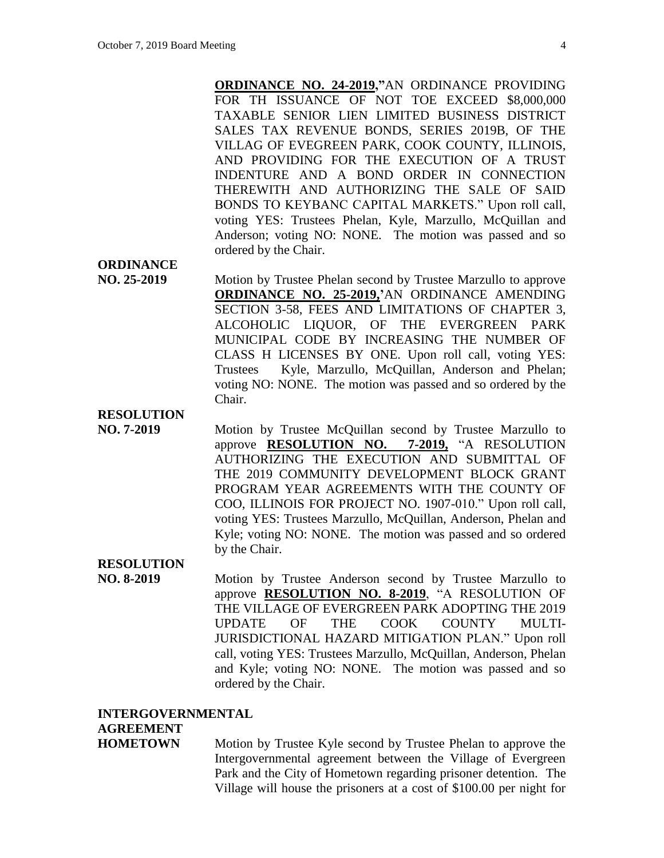**ORDINANCE NO. 24-2019,"**AN ORDINANCE PROVIDING FOR TH ISSUANCE OF NOT TOE EXCEED \$8,000,000 TAXABLE SENIOR LIEN LIMITED BUSINESS DISTRICT SALES TAX REVENUE BONDS, SERIES 2019B, OF THE VILLAG OF EVEGREEN PARK, COOK COUNTY, ILLINOIS, AND PROVIDING FOR THE EXECUTION OF A TRUST INDENTURE AND A BOND ORDER IN CONNECTION THEREWITH AND AUTHORIZING THE SALE OF SAID BONDS TO KEYBANC CAPITAL MARKETS." Upon roll call, voting YES: Trustees Phelan, Kyle, Marzullo, McQuillan and Anderson; voting NO: NONE. The motion was passed and so ordered by the Chair.

### **ORDINANCE**

**NO. 25-2019** • Motion by Trustee Phelan second by Trustee Marzullo to approve **ORDINANCE NO. 25-2019,'**AN ORDINANCE AMENDING SECTION 3-58, FEES AND LIMITATIONS OF CHAPTER 3, ALCOHOLIC LIQUOR, OF THE EVERGREEN PARK MUNICIPAL CODE BY INCREASING THE NUMBER OF CLASS H LICENSES BY ONE. Upon roll call, voting YES: Trustees Kyle, Marzullo, McQuillan, Anderson and Phelan; voting NO: NONE. The motion was passed and so ordered by the Chair.

### **RESOLUTION**

**NO. 7-2019** Motion by Trustee McQuillan second by Trustee Marzullo to approve **RESOLUTION NO. 7-2019,** "A RESOLUTION AUTHORIZING THE EXECUTION AND SUBMITTAL OF THE 2019 COMMUNITY DEVELOPMENT BLOCK GRANT PROGRAM YEAR AGREEMENTS WITH THE COUNTY OF COO, ILLINOIS FOR PROJECT NO. 1907-010." Upon roll call, voting YES: Trustees Marzullo, McQuillan, Anderson, Phelan and Kyle; voting NO: NONE. The motion was passed and so ordered by the Chair.

#### **RESOLUTION**

**NO. 8-2019** Motion by Trustee Anderson second by Trustee Marzullo to approve **RESOLUTION NO. 8-2019**, "A RESOLUTION OF THE VILLAGE OF EVERGREEN PARK ADOPTING THE 2019 UPDATE OF THE COOK COUNTY MULTI-JURISDICTIONAL HAZARD MITIGATION PLAN." Upon roll call, voting YES: Trustees Marzullo, McQuillan, Anderson, Phelan and Kyle; voting NO: NONE. The motion was passed and so ordered by the Chair.

#### **INTERGOVERNMENTAL**

### **AGREEMENT**

**HOMETOWN** Motion by Trustee Kyle second by Trustee Phelan to approve the Intergovernmental agreement between the Village of Evergreen Park and the City of Hometown regarding prisoner detention. The Village will house the prisoners at a cost of \$100.00 per night for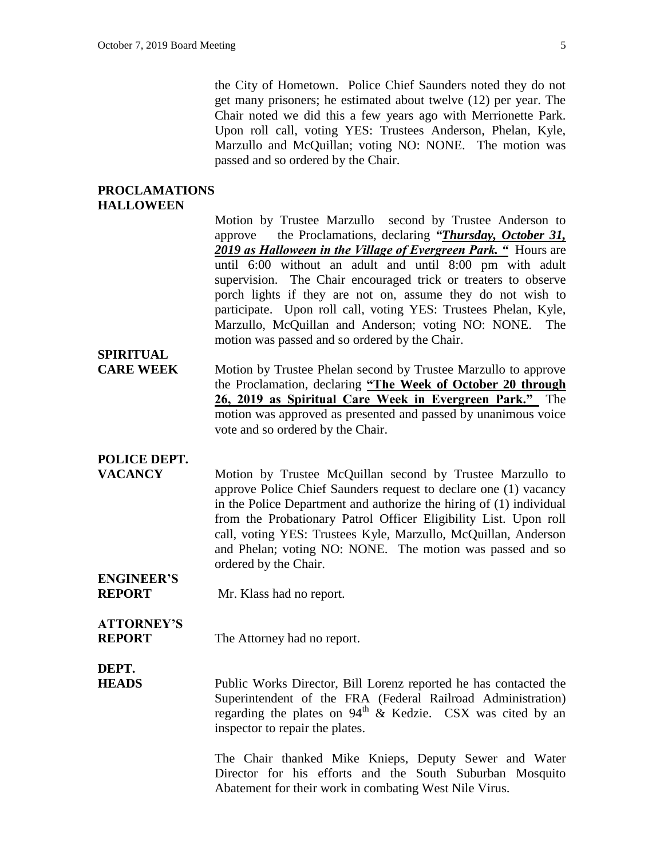the City of Hometown. Police Chief Saunders noted they do not get many prisoners; he estimated about twelve (12) per year. The Chair noted we did this a few years ago with Merrionette Park. Upon roll call, voting YES: Trustees Anderson, Phelan, Kyle, Marzullo and McQuillan; voting NO: NONE. The motion was passed and so ordered by the Chair.

### **PROCLAMATIONS HALLOWEEN**

Motion by Trustee Marzullo second by Trustee Anderson to approve the Proclamations, declaring *"Thursday, October 31, 2019 as Halloween in the Village of Evergreen Park. "* Hours are until 6:00 without an adult and until 8:00 pm with adult supervision. The Chair encouraged trick or treaters to observe porch lights if they are not on, assume they do not wish to participate. Upon roll call, voting YES: Trustees Phelan, Kyle, Marzullo, McQuillan and Anderson; voting NO: NONE. The motion was passed and so ordered by the Chair.

# **SPIRITUAL**

**CARE WEEK** Motion by Trustee Phelan second by Trustee Marzullo to approve the Proclamation, declaring **"The Week of October 20 through 26, 2019 as Spiritual Care Week in Evergreen Park."** The motion was approved as presented and passed by unanimous voice vote and so ordered by the Chair.

### **POLICE DEPT.**

**VACANCY** Motion by Trustee McQuillan second by Trustee Marzullo to approve Police Chief Saunders request to declare one (1) vacancy in the Police Department and authorize the hiring of (1) individual from the Probationary Patrol Officer Eligibility List. Upon roll call, voting YES: Trustees Kyle, Marzullo, McQuillan, Anderson and Phelan; voting NO: NONE. The motion was passed and so ordered by the Chair.

### **ENGINEER'S REPORT** Mr. Klass had no report.

# **ATTORNEY'S**

**REPORT** The Attorney had no report.

**DEPT.**

**HEADS** Public Works Director, Bill Lorenz reported he has contacted the Superintendent of the FRA (Federal Railroad Administration) regarding the plates on  $94<sup>th</sup>$  & Kedzie. CSX was cited by an inspector to repair the plates.

> The Chair thanked Mike Knieps, Deputy Sewer and Water Director for his efforts and the South Suburban Mosquito Abatement for their work in combating West Nile Virus.